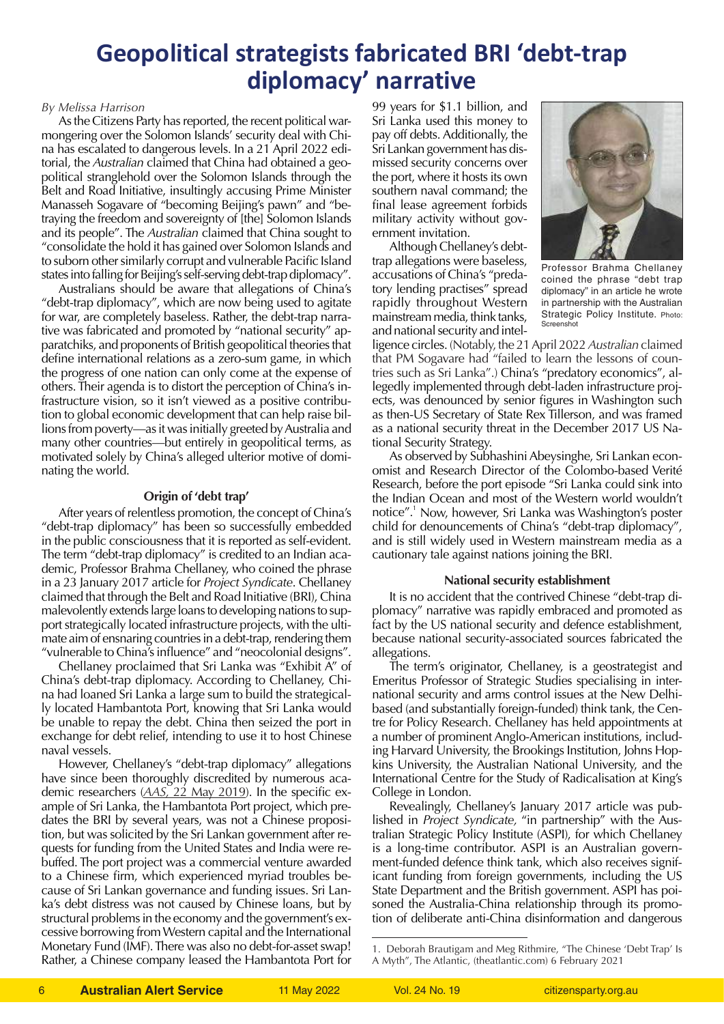# **Geopolitical strategists fabricated BRI 'debt-trap diplomacy' narrative**

### *By Melissa Harrison*

As the Citizens Party has reported, the recent political warmongering over the Solomon Islands' security deal with China has escalated to dangerous levels. In a 21 April 2022 editorial, the *Australian* claimed that China had obtained a geopolitical stranglehold over the Solomon Islands through the Belt and Road Initiative, insultingly accusing Prime Minister Manasseh Sogavare of "becoming Beijing's pawn" and "betraying the freedom and sovereignty of [the] Solomon Islands and its people". The *Australian* claimed that China sought to "consolidate the hold it has gained over Solomon Islands and to suborn other similarly corrupt and vulnerable Pacific Island states into falling for Beijing's self-serving debt-trap diplomacy".

Australians should be aware that allegations of China's "debt-trap diplomacy", which are now being used to agitate for war, are completely baseless. Rather, the debt-trap narrative was fabricated and promoted by "national security" apparatchiks, and proponents of British geopolitical theories that define international relations as a zero-sum game, in which the progress of one nation can only come at the expense of others. Their agenda is to distort the perception of China's infrastructure vision, so it isn't viewed as a positive contribution to global economic development that can help raise billions from poverty—as it was initially greeted by Australia and many other countries—but entirely in geopolitical terms, as motivated solely by China's alleged ulterior motive of dominating the world.

## **Origin of 'debt trap'**

After years of relentless promotion, the concept of China's "debt-trap diplomacy" has been so successfully embedded in the public consciousness that it is reported as self-evident. The term "debt-trap diplomacy" is credited to an Indian academic, Professor Brahma Chellaney, who coined the phrase in a 23 January 2017 article for *Project Syndicate*. Chellaney claimed that through the Belt and Road Initiative (BRI), China malevolently extends large loans to developing nations to support strategically located infrastructure projects, with the ultimate aim of ensnaring countries in a debt-trap, rendering them "vulnerable to China's influence" and "neocolonial designs".

Chellaney proclaimed that Sri Lanka was "Exhibit A" of China's debt-trap diplomacy. According to Chellaney, China had loaned Sri Lanka a large sum to build the strategically located Hambantota Port, knowing that Sri Lanka would be unable to repay the debt. China then seized the port in exchange for debt relief, intending to use it to host Chinese naval vessels.

However, Chellaney's "debt-trap diplomacy" allegations have since been thoroughly discredited by numerous academic researchers (*AAS,* [22 May 2019](https://citizensparty.org.au/more-refutations-china-debt-trap-allegations)). In the specific example of Sri Lanka, the Hambantota Port project, which predates the BRI by several years, was not a Chinese proposition, but was solicited by the Sri Lankan government after requests for funding from the United States and India were rebuffed. The port project was a commercial venture awarded to a Chinese firm, which experienced myriad troubles because of Sri Lankan governance and funding issues. Sri Lanka's debt distress was not caused by Chinese loans, but by structural problems in the economy and the government's excessive borrowing from Western capital and the International Monetary Fund (IMF). There was also no debt-for-asset swap! Rather, a Chinese company leased the Hambantota Port for

99 years for \$1.1 billion, and Sri Lanka used this money to pay off debts. Additionally, the Sri Lankan government has dismissed security concerns over the port, where it hosts its own southern naval command; the final lease agreement forbids military activity without government invitation.

Although Chellaney's debttrap allegations were baseless, accusations of China's "predatory lending practises" spread rapidly throughout Western mainstream media, think tanks, and national security and intel-



Professor Brahma Chellaney coined the phrase "debt trap diplomacy" in an article he wrote in partnership with the Australian Strategic Policy Institute. Photo: **Screenshot** 

ligence circles. (Notably, the 21 April 2022 *Australian* claimed that PM Sogavare had "failed to learn the lessons of countries such as Sri Lanka".) China's "predatory economics", allegedly implemented through debt-laden infrastructure projects, was denounced by senior figures in Washington such as then-US Secretary of State Rex Tillerson, and was framed as a national security threat in the December 2017 US National Security Strategy.

As observed by Subhashini Abeysinghe, Sri Lankan economist and Research Director of the Colombo-based Verité Research, before the port episode "Sri Lanka could sink into the Indian Ocean and most of the Western world wouldn't notice".1 Now, however, Sri Lanka was Washington's poster child for denouncements of China's "debt-trap diplomacy", and is still widely used in Western mainstream media as a cautionary tale against nations joining the BRI.

#### **National security establishment**

It is no accident that the contrived Chinese "debt-trap diplomacy" narrative was rapidly embraced and promoted as fact by the US national security and defence establishment, because national security-associated sources fabricated the allegations.

The term's originator, Chellaney, is a geostrategist and Emeritus Professor of Strategic Studies specialising in international security and arms control issues at the New Delhibased (and substantially foreign-funded) think tank, the Centre for Policy Research. Chellaney has held appointments at a number of prominent Anglo-American institutions, including Harvard University, the Brookings Institution, Johns Hopkins University, the Australian National University, and the International Centre for the Study of Radicalisation at King's College in London.

Revealingly, Chellaney's January 2017 article was published in *Project Syndicate,* "in partnership" with the Australian Strategic Policy Institute (ASPI), for which Chellaney is a long-time contributor. ASPI is an Australian government-funded defence think tank, which also receives significant funding from foreign governments, including the US State Department and the British government. ASPI has poisoned the Australia-China relationship through its promotion of deliberate anti-China disinformation and dangerous

<sup>1.</sup> Deborah Brautigam and Meg Rithmire, "The Chinese 'Debt Trap' Is A Myth", The Atlantic, (theatlantic.com) 6 February 2021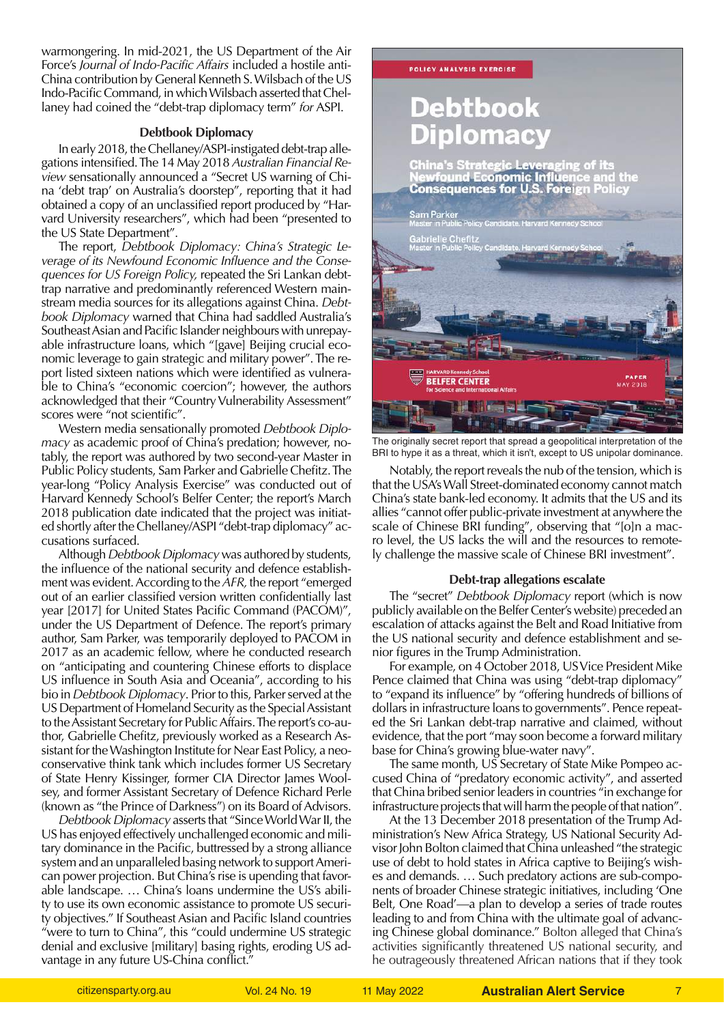warmongering. In mid-2021, the US Department of the Air Force's *Journal of Indo-Pacific Affairs* included a hostile anti-China contribution by General Kenneth S. Wilsbach of the US Indo-Pacific Command, in which Wilsbach asserted that Chellaney had coined the "debt-trap diplomacy term" *for* ASPI.

#### **Debtbook Diplomacy**

In early 2018, the Chellaney/ASPI-instigated debt-trap allegations intensified. The 14 May 2018 *Australian Financial Review* sensationally announced a "Secret US warning of China 'debt trap' on Australia's doorstep", reporting that it had obtained a copy of an unclassified report produced by "Harvard University researchers", which had been "presented to the US State Department".

The report, *Debtbook Diplomacy: China's Strategic Leverage of its Newfound Economic Influence and the Consequences for US Foreign Policy,* repeated the Sri Lankan debttrap narrative and predominantly referenced Western mainstream media sources for its allegations against China. *Debtbook Diplomacy* warned that China had saddled Australia's Southeast Asian and Pacific Islander neighbours with unrepayable infrastructure loans, which "[gave] Beijing crucial economic leverage to gain strategic and military power". The report listed sixteen nations which were identified as vulnerable to China's "economic coercion"; however, the authors acknowledged that their "Country Vulnerability Assessment" scores were "not scientific".

Western media sensationally promoted *Debtbook Diplomacy* as academic proof of China's predation; however, notably, the report was authored by two second-year Master in Public Policy students, Sam Parker and Gabrielle Chefitz. The year-long "Policy Analysis Exercise" was conducted out of Harvard Kennedy School's Belfer Center; the report's March 2018 publication date indicated that the project was initiated shortly after the Chellaney/ASPI "debt-trap diplomacy" accusations surfaced.

Although *Debtbook Diplomacy* was authored by students, the influence of the national security and defence establishment was evident. According to the *AFR,* the report "emerged out of an earlier classified version written confidentially last year [2017] for United States Pacific Command (PACOM)", under the US Department of Defence. The report's primary author, Sam Parker, was temporarily deployed to PACOM in 2017 as an academic fellow, where he conducted research on "anticipating and countering Chinese efforts to displace US influence in South Asia and Oceania", according to his bio in *Debtbook Diplomacy*. Prior to this, Parker served at the US Department of Homeland Security as the Special Assistant to the Assistant Secretary for Public Affairs. The report's co-author, Gabrielle Chefitz, previously worked as a Research Assistant for the Washington Institute for Near East Policy, a neoconservative think tank which includes former US Secretary of State Henry Kissinger, former CIA Director James Woolsey, and former Assistant Secretary of Defence Richard Perle (known as "the Prince of Darkness") on its Board of Advisors.

*Debtbook Diplomacy* asserts that "Since World War II, the US has enjoyed effectively unchallenged economic and military dominance in the Pacific, buttressed by a strong alliance system and an unparalleled basing network to support American power projection. But China's rise is upending that favorable landscape. … China's loans undermine the US's ability to use its own economic assistance to promote US security objectives." If Southeast Asian and Pacific Island countries "were to turn to China", this "could undermine US strategic denial and exclusive [military] basing rights, eroding US advantage in any future US-China conflict."



The originally secret report that spread a geopolitical interpretation of the BRI to hype it as a threat, which it isn't, except to US unipolar dominance.

Notably, the report reveals the nub of the tension, which is that the USA's Wall Street-dominated economy cannot match China's state bank-led economy. It admits that the US and its allies "cannot offer public-private investment at anywhere the scale of Chinese BRI funding", observing that "[o]n a macro level, the US lacks the will and the resources to remotely challenge the massive scale of Chinese BRI investment".

#### **Debt-trap allegations escalate**

The "secret" *Debtbook Diplomacy* report (which is now publicly available on the Belfer Center's website) preceded an escalation of attacks against the Belt and Road Initiative from the US national security and defence establishment and senior figures in the Trump Administration.

For example, on 4 October 2018, US Vice President Mike Pence claimed that China was using "debt-trap diplomacy" to "expand its influence" by "offering hundreds of billions of dollars in infrastructure loans to governments". Pence repeated the Sri Lankan debt-trap narrative and claimed, without evidence, that the port "may soon become a forward military base for China's growing blue-water navy".

The same month, US Secretary of State Mike Pompeo accused China of "predatory economic activity", and asserted that China bribed senior leaders in countries "in exchange for infrastructure projects that will harm the people of that nation".

At the 13 December 2018 presentation of the Trump Administration's New Africa Strategy, US National Security Advisor John Bolton claimed that China unleashed "the strategic use of debt to hold states in Africa captive to Beijing's wishes and demands. … Such predatory actions are sub-components of broader Chinese strategic initiatives, including 'One Belt, One Road'—a plan to develop a series of trade routes leading to and from China with the ultimate goal of advancing Chinese global dominance." Bolton alleged that China's activities significantly threatened US national security, and he outrageously threatened African nations that if they took